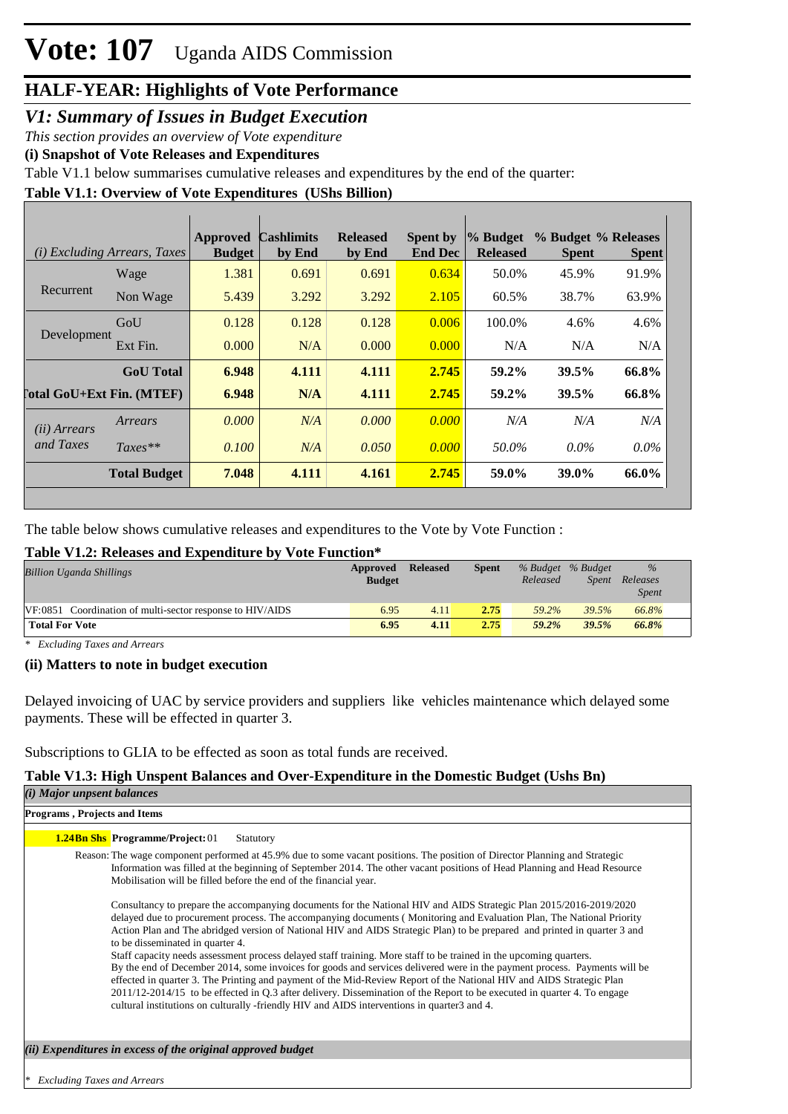### **HALF-YEAR: Highlights of Vote Performance**

### *V1: Summary of Issues in Budget Execution*

*This section provides an overview of Vote expenditure* 

**(i) Snapshot of Vote Releases and Expenditures**

Table V1.1 below summarises cumulative releases and expenditures by the end of the quarter:

### **Table V1.1: Overview of Vote Expenditures (UShs Billion)**

|                                  | (i) Excluding Arrears, Taxes | Approved<br><b>Budget</b> | <b>Cashlimits</b><br>by End | <b>Released</b><br>by End | <b>Spent by</b><br><b>End Dec</b> | % Budget<br><b>Released</b> | % Budget % Releases<br><b>Spent</b> | <b>Spent</b> |
|----------------------------------|------------------------------|---------------------------|-----------------------------|---------------------------|-----------------------------------|-----------------------------|-------------------------------------|--------------|
|                                  | Wage                         | 1.381                     | 0.691                       | 0.691                     | 0.634                             | 50.0%                       | 45.9%                               | 91.9%        |
| Recurrent                        | Non Wage                     | 5.439                     | 3.292                       | 3.292                     | 2.105                             | 60.5%                       | 38.7%                               | 63.9%        |
| Development                      | GoU                          | 0.128                     | 0.128                       | 0.128                     | 0.006                             | 100.0%                      | 4.6%                                | 4.6%         |
|                                  | Ext Fin.                     | 0.000                     | N/A                         | 0.000                     | 0.000                             | N/A                         | N/A                                 | N/A          |
|                                  | <b>GoU</b> Total             | 6.948                     | 4.111                       | 4.111                     | 2.745                             | 59.2%                       | 39.5%                               | 66.8%        |
| <b>Total GoU+Ext Fin. (MTEF)</b> |                              | 6.948                     | N/A                         | 4.111                     | 2.745                             | 59.2%                       | 39.5%                               | 66.8%        |
| (ii) Arrears                     | Arrears                      | 0.000                     | N/A                         | 0.000                     | 0.000                             | N/A                         | N/A                                 | N/A          |
| and Taxes                        | $Taxes**$                    | 0.100                     | N/A                         | 0.050                     | 0.000                             | 50.0%                       | $0.0\%$                             | $0.0\%$      |
|                                  | <b>Total Budget</b>          | 7.048                     | 4.111                       | 4.161                     | 2.745                             | 59.0%                       | 39.0%                               | 66.0%        |

The table below shows cumulative releases and expenditures to the Vote by Vote Function :

### **Table V1.2: Releases and Expenditure by Vote Function\***

| <b>Billion Uganda Shillings</b>                           | Approved<br><b>Budget</b> | <b>Released</b> | <b>Spent</b> | % Budget % Budget<br>Released | Spent | $\%$<br>Releases<br><b>Spent</b> |
|-----------------------------------------------------------|---------------------------|-----------------|--------------|-------------------------------|-------|----------------------------------|
| VF:0851 Coordination of multi-sector response to HIV/AIDS | 6.95                      | 4.11            | 2.75         | 59.2%                         | 39.5% | 66.8%                            |
| <b>Total For Vote</b>                                     | 6.95                      | 4.11            | 2.75         | 59.2%                         | 39.5% | 66.8%                            |

*\* Excluding Taxes and Arrears*

### **(ii) Matters to note in budget execution**

Delayed invoicing of UAC by service providers and suppliers like vehicles maintenance which delayed some payments. These will be effected in quarter 3.

Subscriptions to GLIA to be effected as soon as total funds are received.

### **Table V1.3: High Unspent Balances and Over-Expenditure in the Domestic Budget (Ushs Bn)**

| ( <i>i</i> ) Major unpsent balances                                                                                                                                                                                                                                                                                                                                                                                                                                                                                                                                                                                                                                                                                                                                                                                                                                                                                                                                                                                 |
|---------------------------------------------------------------------------------------------------------------------------------------------------------------------------------------------------------------------------------------------------------------------------------------------------------------------------------------------------------------------------------------------------------------------------------------------------------------------------------------------------------------------------------------------------------------------------------------------------------------------------------------------------------------------------------------------------------------------------------------------------------------------------------------------------------------------------------------------------------------------------------------------------------------------------------------------------------------------------------------------------------------------|
| Programs, Projects and Items                                                                                                                                                                                                                                                                                                                                                                                                                                                                                                                                                                                                                                                                                                                                                                                                                                                                                                                                                                                        |
| <b>1.24Bn Shs Programme/Project: 01</b><br>Statutory                                                                                                                                                                                                                                                                                                                                                                                                                                                                                                                                                                                                                                                                                                                                                                                                                                                                                                                                                                |
| Reason: The wage component performed at 45.9% due to some vacant positions. The position of Director Planning and Strategic<br>Information was filled at the beginning of September 2014. The other vacant positions of Head Planning and Head Resource<br>Mobilisation will be filled before the end of the financial year.                                                                                                                                                                                                                                                                                                                                                                                                                                                                                                                                                                                                                                                                                        |
| Consultancy to prepare the accompanying documents for the National HIV and AIDS Strategic Plan 2015/2016-2019/2020<br>delayed due to procurement process. The accompanying documents (Monitoring and Evaluation Plan, The National Priority<br>Action Plan and The abridged version of National HIV and AIDS Strategic Plan) to be prepared and printed in quarter 3 and<br>to be disseminated in quarter 4.<br>Staff capacity needs assessment process delayed staff training. More staff to be trained in the upcoming quarters.<br>By the end of December 2014, some invoices for goods and services delivered were in the payment process. Payments will be<br>effected in quarter 3. The Printing and payment of the Mid-Review Report of the National HIV and AIDS Strategic Plan<br>2011/12-2014/15 to be effected in Q.3 after delivery. Dissemination of the Report to be executed in quarter 4. To engage<br>cultural institutions on culturally -friendly HIV and AIDS interventions in quarter 3 and 4. |
| (ii) Expenditures in excess of the original approved budget                                                                                                                                                                                                                                                                                                                                                                                                                                                                                                                                                                                                                                                                                                                                                                                                                                                                                                                                                         |
|                                                                                                                                                                                                                                                                                                                                                                                                                                                                                                                                                                                                                                                                                                                                                                                                                                                                                                                                                                                                                     |

*\* Excluding Taxes and Arrears*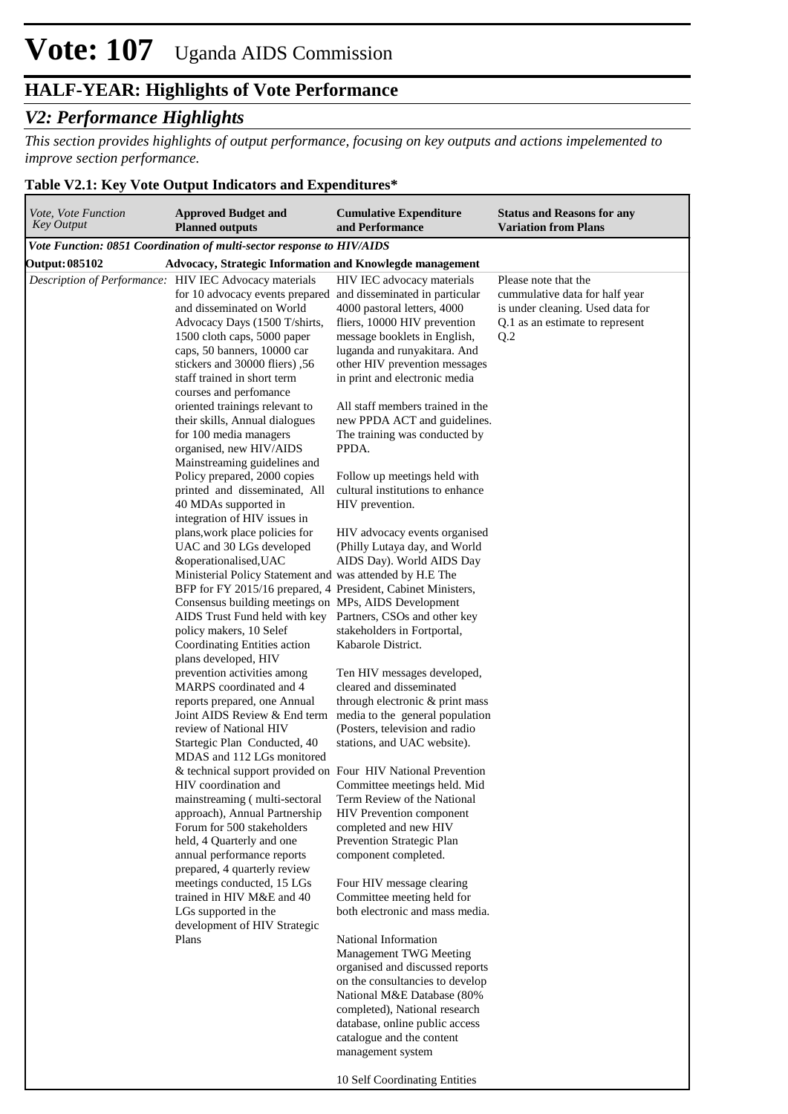## **HALF-YEAR: Highlights of Vote Performance**

## *V2: Performance Highlights*

*This section provides highlights of output performance, focusing on key outputs and actions impelemented to improve section performance.*

### **Table V2.1: Key Vote Output Indicators and Expenditures\***

| Vote, Vote Function<br><b>Key Output</b> | <b>Approved Budget and</b><br><b>Planned outputs</b>                                                                                                                                                                                                                                                                                                                                                                     | <b>Cumulative Expenditure</b><br>and Performance                                                                                                                                                                                                                        | <b>Status and Reasons for any</b><br><b>Variation from Plans</b>                                                                     |
|------------------------------------------|--------------------------------------------------------------------------------------------------------------------------------------------------------------------------------------------------------------------------------------------------------------------------------------------------------------------------------------------------------------------------------------------------------------------------|-------------------------------------------------------------------------------------------------------------------------------------------------------------------------------------------------------------------------------------------------------------------------|--------------------------------------------------------------------------------------------------------------------------------------|
|                                          | Vote Function: 0851 Coordination of multi-sector response to HIV/AIDS                                                                                                                                                                                                                                                                                                                                                    |                                                                                                                                                                                                                                                                         |                                                                                                                                      |
| Output: 085102                           | Advocacy, Strategic Information and Knowlegde management                                                                                                                                                                                                                                                                                                                                                                 |                                                                                                                                                                                                                                                                         |                                                                                                                                      |
|                                          | Description of Performance: HIV IEC Advocacy materials<br>for 10 advocacy events prepared and disseminated in particular<br>and disseminated on World<br>Advocacy Days (1500 T/shirts,<br>1500 cloth caps, 5000 paper<br>caps, 50 banners, 10000 car<br>stickers and 30000 fliers), 56<br>staff trained in short term<br>courses and perfomance                                                                          | HIV IEC advocacy materials<br>4000 pastoral letters, 4000<br>fliers, 10000 HIV prevention<br>message booklets in English,<br>luganda and runyakitara. And<br>other HIV prevention messages<br>in print and electronic media                                             | Please note that the<br>cummulative data for half year<br>is under cleaning. Used data for<br>Q.1 as an estimate to represent<br>Q.2 |
|                                          | oriented trainings relevant to<br>their skills, Annual dialogues<br>for 100 media managers<br>organised, new HIV/AIDS<br>Mainstreaming guidelines and                                                                                                                                                                                                                                                                    | All staff members trained in the<br>new PPDA ACT and guidelines.<br>The training was conducted by<br>PPDA.                                                                                                                                                              |                                                                                                                                      |
|                                          | Policy prepared, 2000 copies<br>printed and disseminated, All<br>40 MDAs supported in<br>integration of HIV issues in                                                                                                                                                                                                                                                                                                    | Follow up meetings held with<br>cultural institutions to enhance<br>HIV prevention.                                                                                                                                                                                     |                                                                                                                                      |
|                                          | plans, work place policies for<br>UAC and 30 LGs developed<br>&operationalised, UAC<br>Ministerial Policy Statement and was attended by H.E The<br>BFP for FY 2015/16 prepared, 4 President, Cabinet Ministers,<br>Consensus building meetings on MPs, AIDS Development<br>AIDS Trust Fund held with key Partners, CSOs and other key<br>policy makers, 10 Selef<br>Coordinating Entities action<br>plans developed, HIV | HIV advocacy events organised<br>(Philly Lutaya day, and World<br>AIDS Day). World AIDS Day<br>stakeholders in Fortportal,<br>Kabarole District.                                                                                                                        |                                                                                                                                      |
|                                          | prevention activities among<br>MARPS coordinated and 4<br>reports prepared, one Annual<br>Joint AIDS Review & End term<br>review of National HIV<br>Startegic Plan Conducted, 40<br>MDAS and 112 LGs monitored                                                                                                                                                                                                           | Ten HIV messages developed,<br>cleared and disseminated<br>through electronic & print mass<br>media to the general population<br>(Posters, television and radio<br>stations, and UAC website).                                                                          |                                                                                                                                      |
|                                          | & technical support provided on Four HIV National Prevention<br>HIV coordination and<br>mainstreaming (multi-sectoral<br>approach), Annual Partnership<br>Forum for 500 stakeholders<br>held, 4 Quarterly and one<br>annual performance reports<br>prepared, 4 quarterly review<br>meetings conducted, 15 LGs<br>trained in HIV M&E and 40<br>LGs supported in the                                                       | Committee meetings held. Mid<br>Term Review of the National<br>HIV Prevention component<br>completed and new HIV<br>Prevention Strategic Plan<br>component completed.<br>Four HIV message clearing<br>Committee meeting held for<br>both electronic and mass media.     |                                                                                                                                      |
|                                          | development of HIV Strategic<br>Plans                                                                                                                                                                                                                                                                                                                                                                                    | National Information<br>Management TWG Meeting<br>organised and discussed reports<br>on the consultancies to develop<br>National M&E Database (80%<br>completed), National research<br>database, online public access<br>catalogue and the content<br>management system |                                                                                                                                      |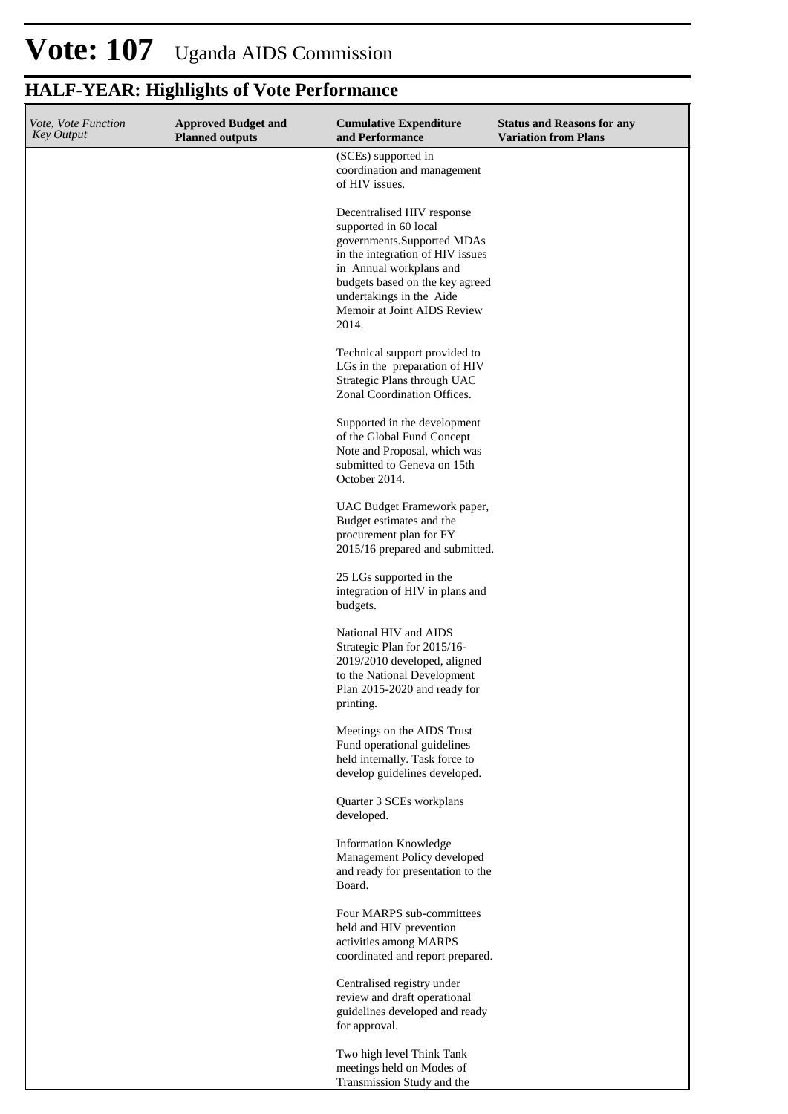# **HALF-YEAR: Highlights of Vote Performance**

| Vote, Vote Function<br><b>Key Output</b> | <b>Approved Budget and</b><br><b>Planned outputs</b> | <b>Cumulative Expenditure</b><br>and Performance                                                                                                                 | <b>Status and Reasons for any</b><br><b>Variation from Plans</b> |
|------------------------------------------|------------------------------------------------------|------------------------------------------------------------------------------------------------------------------------------------------------------------------|------------------------------------------------------------------|
|                                          |                                                      | (SCEs) supported in<br>coordination and management<br>of HIV issues.                                                                                             |                                                                  |
|                                          |                                                      | Decentralised HIV response<br>supported in 60 local<br>governments.Supported MDAs<br>in the integration of HIV issues<br>in Annual workplans and                 |                                                                  |
|                                          |                                                      | budgets based on the key agreed<br>undertakings in the Aide<br>Memoir at Joint AIDS Review<br>2014.                                                              |                                                                  |
|                                          |                                                      | Technical support provided to<br>LGs in the preparation of HIV<br>Strategic Plans through UAC<br>Zonal Coordination Offices.                                     |                                                                  |
|                                          |                                                      | Supported in the development<br>of the Global Fund Concept<br>Note and Proposal, which was<br>submitted to Geneva on 15th<br>October 2014.                       |                                                                  |
|                                          |                                                      | UAC Budget Framework paper,<br>Budget estimates and the<br>procurement plan for FY<br>2015/16 prepared and submitted.                                            |                                                                  |
|                                          |                                                      | 25 LGs supported in the<br>integration of HIV in plans and<br>budgets.                                                                                           |                                                                  |
|                                          |                                                      | National HIV and AIDS<br>Strategic Plan for 2015/16-<br>2019/2010 developed, aligned<br>to the National Development<br>Plan 2015-2020 and ready for<br>printing. |                                                                  |
|                                          |                                                      | Meetings on the AIDS Trust<br>Fund operational guidelines<br>held internally. Task force to<br>develop guidelines developed.                                     |                                                                  |
|                                          |                                                      | Quarter 3 SCEs workplans<br>developed.                                                                                                                           |                                                                  |
|                                          |                                                      | <b>Information Knowledge</b><br>Management Policy developed<br>and ready for presentation to the<br>Board.                                                       |                                                                  |
|                                          |                                                      | Four MARPS sub-committees<br>held and HIV prevention<br>activities among MARPS<br>coordinated and report prepared.                                               |                                                                  |
|                                          |                                                      | Centralised registry under<br>review and draft operational<br>guidelines developed and ready<br>for approval.                                                    |                                                                  |
|                                          |                                                      | Two high level Think Tank<br>meetings held on Modes of<br>Transmission Study and the                                                                             |                                                                  |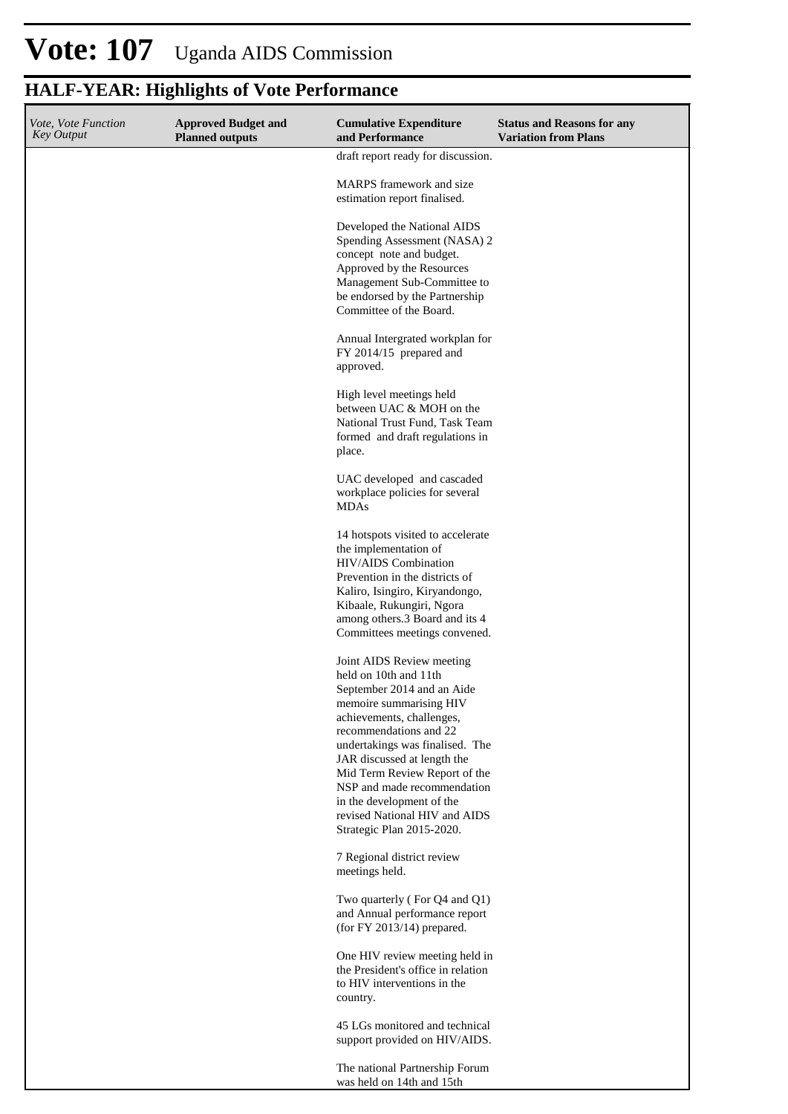## **HALF-YEAR: Highlights of Vote Performance**

| Vote, Vote Function<br><b>Key Output</b> | <b>Approved Budget and</b><br><b>Planned outputs</b> | <b>Cumulative Expenditure</b><br>and Performance                                                                                                                                                                                                                                                                                                                                                | <b>Status and Reasons for any</b><br><b>Variation from Plans</b> |
|------------------------------------------|------------------------------------------------------|-------------------------------------------------------------------------------------------------------------------------------------------------------------------------------------------------------------------------------------------------------------------------------------------------------------------------------------------------------------------------------------------------|------------------------------------------------------------------|
|                                          |                                                      | draft report ready for discussion.                                                                                                                                                                                                                                                                                                                                                              |                                                                  |
|                                          |                                                      | MARPS framework and size<br>estimation report finalised.                                                                                                                                                                                                                                                                                                                                        |                                                                  |
|                                          |                                                      | Developed the National AIDS<br>Spending Assessment (NASA) 2<br>concept note and budget.<br>Approved by the Resources<br>Management Sub-Committee to<br>be endorsed by the Partnership<br>Committee of the Board.                                                                                                                                                                                |                                                                  |
|                                          |                                                      | Annual Intergrated workplan for<br>FY 2014/15 prepared and<br>approved.                                                                                                                                                                                                                                                                                                                         |                                                                  |
|                                          |                                                      | High level meetings held<br>between UAC & MOH on the<br>National Trust Fund, Task Team<br>formed and draft regulations in<br>place.                                                                                                                                                                                                                                                             |                                                                  |
|                                          |                                                      | UAC developed and cascaded<br>workplace policies for several<br><b>MDAs</b>                                                                                                                                                                                                                                                                                                                     |                                                                  |
|                                          |                                                      | 14 hotspots visited to accelerate<br>the implementation of<br>HIV/AIDS Combination<br>Prevention in the districts of<br>Kaliro, Isingiro, Kiryandongo,<br>Kibaale, Rukungiri, Ngora<br>among others.3 Board and its 4<br>Committees meetings convened.                                                                                                                                          |                                                                  |
|                                          |                                                      | Joint AIDS Review meeting<br>held on 10th and 11th<br>September 2014 and an Aide<br>memoire summarising HIV<br>achievements, challenges,<br>recommendations and 22<br>undertakings was finalised. The<br>JAR discussed at length the<br>Mid Term Review Report of the<br>NSP and made recommendation<br>in the development of the<br>revised National HIV and AIDS<br>Strategic Plan 2015-2020. |                                                                  |
|                                          |                                                      | 7 Regional district review<br>meetings held.                                                                                                                                                                                                                                                                                                                                                    |                                                                  |
|                                          |                                                      | Two quarterly (For Q4 and Q1)<br>and Annual performance report<br>(for FY 2013/14) prepared.                                                                                                                                                                                                                                                                                                    |                                                                  |
|                                          |                                                      | One HIV review meeting held in<br>the President's office in relation<br>to HIV interventions in the<br>country.                                                                                                                                                                                                                                                                                 |                                                                  |
|                                          |                                                      | 45 LGs monitored and technical<br>support provided on HIV/AIDS.                                                                                                                                                                                                                                                                                                                                 |                                                                  |
|                                          |                                                      | The national Partnership Forum<br>was held on 14th and 15th                                                                                                                                                                                                                                                                                                                                     |                                                                  |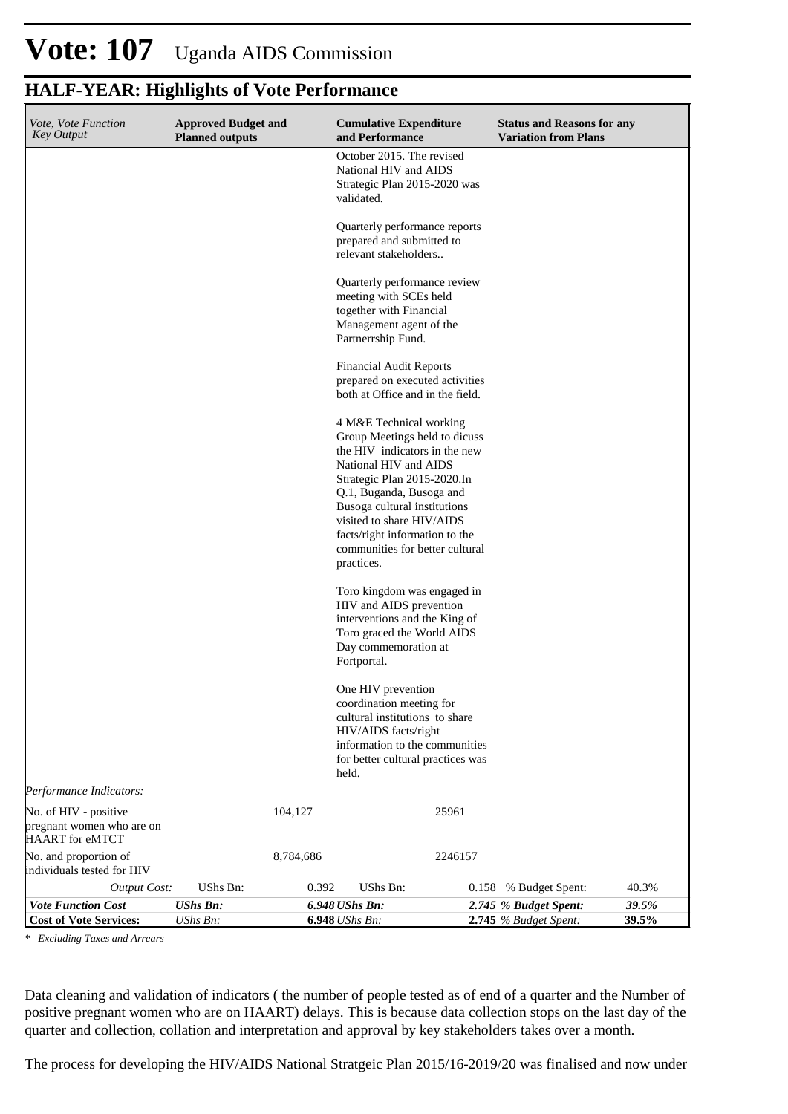# **HALF-YEAR: Highlights of Vote Performance**

| Vote, Vote Function<br>Key Output                                     | <b>Approved Budget and</b><br><b>Planned outputs</b> |           | <b>Cumulative Expenditure</b><br>and Performance                                                                                                                                                                                                                                                                              |         | <b>Status and Reasons for any</b><br><b>Variation from Plans</b> |                |
|-----------------------------------------------------------------------|------------------------------------------------------|-----------|-------------------------------------------------------------------------------------------------------------------------------------------------------------------------------------------------------------------------------------------------------------------------------------------------------------------------------|---------|------------------------------------------------------------------|----------------|
|                                                                       |                                                      |           | October 2015. The revised<br>National HIV and AIDS<br>Strategic Plan 2015-2020 was<br>validated.                                                                                                                                                                                                                              |         |                                                                  |                |
|                                                                       |                                                      |           | Quarterly performance reports<br>prepared and submitted to<br>relevant stakeholders                                                                                                                                                                                                                                           |         |                                                                  |                |
|                                                                       |                                                      |           | Quarterly performance review<br>meeting with SCEs held<br>together with Financial<br>Management agent of the<br>Partnerrship Fund.                                                                                                                                                                                            |         |                                                                  |                |
|                                                                       |                                                      |           | <b>Financial Audit Reports</b><br>prepared on executed activities<br>both at Office and in the field.                                                                                                                                                                                                                         |         |                                                                  |                |
|                                                                       |                                                      |           | 4 M&E Technical working<br>Group Meetings held to dicuss<br>the HIV indicators in the new<br>National HIV and AIDS<br>Strategic Plan 2015-2020.In<br>Q.1, Buganda, Busoga and<br>Busoga cultural institutions<br>visited to share HIV/AIDS<br>facts/right information to the<br>communities for better cultural<br>practices. |         |                                                                  |                |
|                                                                       |                                                      |           | Toro kingdom was engaged in<br>HIV and AIDS prevention<br>interventions and the King of<br>Toro graced the World AIDS<br>Day commemoration at<br>Fortportal.                                                                                                                                                                  |         |                                                                  |                |
|                                                                       |                                                      |           | One HIV prevention<br>coordination meeting for<br>cultural institutions to share<br>HIV/AIDS facts/right<br>information to the communities<br>for better cultural practices was<br>held.                                                                                                                                      |         |                                                                  |                |
| Performance Indicators:                                               |                                                      |           |                                                                                                                                                                                                                                                                                                                               |         |                                                                  |                |
| No. of HIV - positive<br>pregnant women who are on<br>HAART for eMTCT |                                                      | 104,127   |                                                                                                                                                                                                                                                                                                                               | 25961   |                                                                  |                |
| No. and proportion of<br>individuals tested for HIV                   |                                                      | 8,784,686 |                                                                                                                                                                                                                                                                                                                               | 2246157 |                                                                  |                |
| <b>Output Cost:</b>                                                   | UShs Bn:                                             | 0.392     | UShs Bn:                                                                                                                                                                                                                                                                                                                      | 0.158   | % Budget Spent:                                                  | 40.3%          |
| <b>Vote Function Cost</b><br><b>Cost of Vote Services:</b>            | <b>UShs Bn:</b><br>UShs Bn:                          |           | 6.948 UShs Bn:<br><b>6.948</b> <i>UShs Bn:</i>                                                                                                                                                                                                                                                                                |         | 2.745 % Budget Spent:<br>2.745 % Budget Spent:                   | 39.5%<br>39.5% |

*\* Excluding Taxes and Arrears*

Data cleaning and validation of indicators ( the number of people tested as of end of a quarter and the Number of positive pregnant women who are on HAART) delays. This is because data collection stops on the last day of the quarter and collection, collation and interpretation and approval by key stakeholders takes over a month.

The process for developing the HIV/AIDS National Stratgeic Plan 2015/16-2019/20 was finalised and now under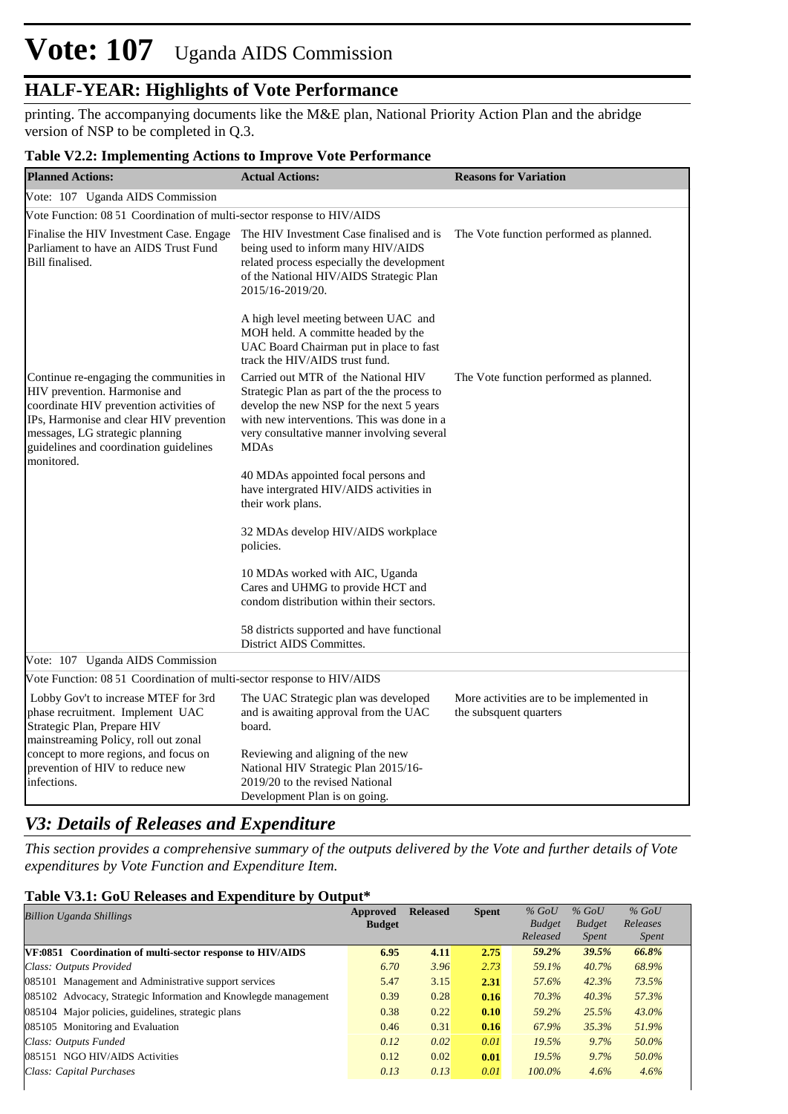## **HALF-YEAR: Highlights of Vote Performance**

printing. The accompanying documents like the M&E plan, National Priority Action Plan and the abridge version of NSP to be completed in Q.3.

### **Table V2.2: Implementing Actions to Improve Vote Performance**

| o<br><b>Planned Actions:</b>                                                                                                                                                                                                                              | <b>Actual Actions:</b>                                                                                                                                                                                                                     | <b>Reasons for Variation</b>                                       |
|-----------------------------------------------------------------------------------------------------------------------------------------------------------------------------------------------------------------------------------------------------------|--------------------------------------------------------------------------------------------------------------------------------------------------------------------------------------------------------------------------------------------|--------------------------------------------------------------------|
| Vote: 107 Uganda AIDS Commission                                                                                                                                                                                                                          |                                                                                                                                                                                                                                            |                                                                    |
| Vote Function: 08 51 Coordination of multi-sector response to HIV/AIDS                                                                                                                                                                                    |                                                                                                                                                                                                                                            |                                                                    |
| Finalise the HIV Investment Case. Engage<br>Parliament to have an AIDS Trust Fund<br>Bill finalised.                                                                                                                                                      | The HIV Investment Case finalised and is<br>being used to inform many HIV/AIDS<br>related process especially the development<br>of the National HIV/AIDS Strategic Plan<br>2015/16-2019/20.                                                | The Vote function performed as planned.                            |
|                                                                                                                                                                                                                                                           | A high level meeting between UAC and<br>MOH held. A committe headed by the<br>UAC Board Chairman put in place to fast<br>track the HIV/AIDS trust fund.                                                                                    |                                                                    |
| Continue re-engaging the communities in<br>HIV prevention. Harmonise and<br>coordinate HIV prevention activities of<br>IPs, Harmonise and clear HIV prevention<br>messages, LG strategic planning<br>guidelines and coordination guidelines<br>monitored. | Carried out MTR of the National HIV<br>Strategic Plan as part of the the process to<br>develop the new NSP for the next 5 years<br>with new interventions. This was done in a<br>very consultative manner involving several<br><b>MDAs</b> | The Vote function performed as planned.                            |
|                                                                                                                                                                                                                                                           | 40 MDAs appointed focal persons and<br>have intergrated HIV/AIDS activities in<br>their work plans.                                                                                                                                        |                                                                    |
|                                                                                                                                                                                                                                                           | 32 MDAs develop HIV/AIDS workplace<br>policies.                                                                                                                                                                                            |                                                                    |
|                                                                                                                                                                                                                                                           | 10 MDAs worked with AIC, Uganda<br>Cares and UHMG to provide HCT and<br>condom distribution within their sectors.                                                                                                                          |                                                                    |
|                                                                                                                                                                                                                                                           | 58 districts supported and have functional<br>District AIDS Committes.                                                                                                                                                                     |                                                                    |
| Vote: 107 Uganda AIDS Commission                                                                                                                                                                                                                          |                                                                                                                                                                                                                                            |                                                                    |
| Vote Function: 08 51 Coordination of multi-sector response to HIV/AIDS                                                                                                                                                                                    |                                                                                                                                                                                                                                            |                                                                    |
| Lobby Gov't to increase MTEF for 3rd<br>phase recruitment. Implement UAC<br>Strategic Plan, Prepare HIV<br>mainstreaming Policy, roll out zonal                                                                                                           | The UAC Strategic plan was developed<br>and is awaiting approval from the UAC<br>board.                                                                                                                                                    | More activities are to be implemented in<br>the subsquent quarters |
| concept to more regions, and focus on<br>prevention of HIV to reduce new<br>infections.                                                                                                                                                                   | Reviewing and aligning of the new<br>National HIV Strategic Plan 2015/16-<br>2019/20 to the revised National<br>Development Plan is on going.                                                                                              |                                                                    |

### *V3: Details of Releases and Expenditure*

*This section provides a comprehensive summary of the outputs delivered by the Vote and further details of Vote expenditures by Vote Function and Expenditure Item.*

### **Table V3.1: GoU Releases and Expenditure by Output\***

| <b>Billion Uganda Shillings</b>                                 | Approved<br><b>Budget</b> | <b>Released</b> | <b>Spent</b> | $%$ GoU<br><b>Budget</b><br>Released | $%$ GoU<br><b>Budget</b><br><i>Spent</i> | $%$ GoU<br>Releases<br><i>Spent</i> |
|-----------------------------------------------------------------|---------------------------|-----------------|--------------|--------------------------------------|------------------------------------------|-------------------------------------|
| VF:0851 Coordination of multi-sector response to HIV/AIDS       | 6.95                      | 4.11            | 2.75         | 59.2%                                | 39.5%                                    | 66.8%                               |
| Class: Outputs Provided                                         | 6.70                      | 3.96            | 2.73         | 59.1%                                | 40.7%                                    | 68.9%                               |
| 085101 Management and Administrative support services           | 5.47                      | 3.15            | 2.31         | 57.6%                                | 42.3%                                    | 73.5%                               |
| 085102 Advocacy, Strategic Information and Knowlegde management | 0.39                      | 0.28            | 0.16         | 70.3%                                | $40.3\%$                                 | 57.3%                               |
| 085104 Major policies, guidelines, strategic plans              | 0.38                      | 0.22            | 0.10         | 59.2%                                | 25.5%                                    | $43.0\%$                            |
| 085105 Monitoring and Evaluation                                | 0.46                      | 0.31            | 0.16         | 67.9%                                | 35.3%                                    | 51.9%                               |
| Class: Outputs Funded                                           | 0.12                      | 0.02            | 0.01         | 19.5%                                | 9.7%                                     | 50.0%                               |
| 085151 NGO HIV/AIDS Activities                                  | 0.12                      | 0.02            | 0.01         | 19.5%                                | 9.7%                                     | 50.0%                               |
| Class: Capital Purchases                                        | 0.13                      | 0.13            | 0.01         | $100.0\%$                            | 4.6%                                     | 4.6%                                |
|                                                                 |                           |                 |              |                                      |                                          |                                     |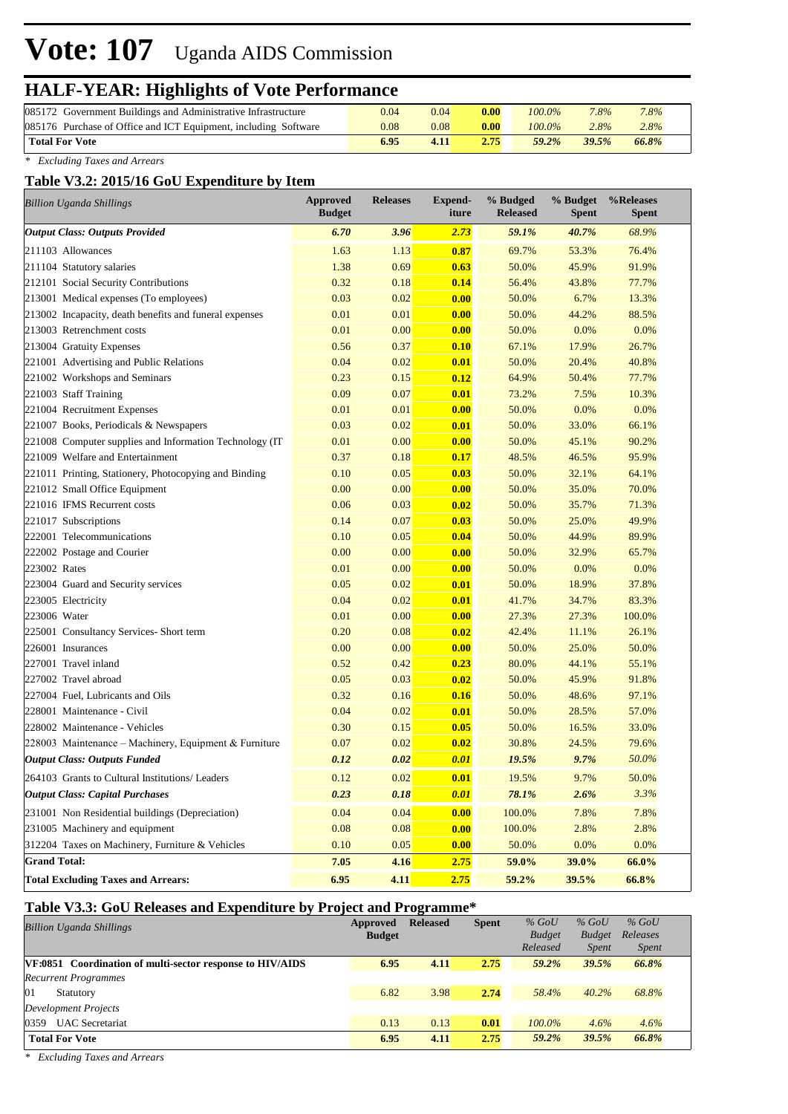## **HALF-YEAR: Highlights of Vote Performance**

| 085172 Government Buildings and Administrative Infrastructure   | 0.04 | 0.04 | 0.00 | $100.0\%$ | 7.8%    | 7.8%  |  |
|-----------------------------------------------------------------|------|------|------|-----------|---------|-------|--|
| 085176 Purchase of Office and ICT Equipment, including Software | 0.08 | 0.08 | 0.00 | $100.0\%$ | $2.8\%$ | 2.8%  |  |
| <b>Total For Vote</b>                                           | 6.95 | 4.11 | 2.75 | $59.2\%$  | 39.5%   | 66.8% |  |

*\* Excluding Taxes and Arrears*

### **Table V3.2: 2015/16 GoU Expenditure by Item**

| <b>Billion Uganda Shillings</b>                         | <b>Approved</b><br><b>Budget</b> | <b>Releases</b> | Expend-<br>iture | % Budged<br><b>Released</b> | % Budget<br><b>Spent</b> | %Releases<br><b>Spent</b> |
|---------------------------------------------------------|----------------------------------|-----------------|------------------|-----------------------------|--------------------------|---------------------------|
| <b>Output Class: Outputs Provided</b>                   | 6.70                             | 3.96            | 2.73             | 59.1%                       | 40.7%                    | 68.9%                     |
| 211103 Allowances                                       | 1.63                             | 1.13            | 0.87             | 69.7%                       | 53.3%                    | 76.4%                     |
| 211104 Statutory salaries                               | 1.38                             | 0.69            | 0.63             | 50.0%                       | 45.9%                    | 91.9%                     |
| 212101 Social Security Contributions                    | 0.32                             | 0.18            | 0.14             | 56.4%                       | 43.8%                    | 77.7%                     |
| 213001 Medical expenses (To employees)                  | 0.03                             | 0.02            | 0.00             | 50.0%                       | 6.7%                     | 13.3%                     |
| 213002 Incapacity, death benefits and funeral expenses  | 0.01                             | 0.01            | 0.00             | 50.0%                       | 44.2%                    | 88.5%                     |
| 213003 Retrenchment costs                               | 0.01                             | 0.00            | 0.00             | 50.0%                       | 0.0%                     | 0.0%                      |
| 213004 Gratuity Expenses                                | 0.56                             | 0.37            | 0.10             | 67.1%                       | 17.9%                    | 26.7%                     |
| 221001 Advertising and Public Relations                 | 0.04                             | 0.02            | 0.01             | 50.0%                       | 20.4%                    | 40.8%                     |
| 221002 Workshops and Seminars                           | 0.23                             | 0.15            | 0.12             | 64.9%                       | 50.4%                    | 77.7%                     |
| 221003 Staff Training                                   | 0.09                             | 0.07            | 0.01             | 73.2%                       | 7.5%                     | 10.3%                     |
| 221004 Recruitment Expenses                             | 0.01                             | 0.01            | 0.00             | 50.0%                       | 0.0%                     | 0.0%                      |
| 221007 Books, Periodicals & Newspapers                  | 0.03                             | 0.02            | 0.01             | 50.0%                       | 33.0%                    | 66.1%                     |
| 221008 Computer supplies and Information Technology (IT | 0.01                             | 0.00            | 0.00             | 50.0%                       | 45.1%                    | 90.2%                     |
| 221009 Welfare and Entertainment                        | 0.37                             | 0.18            | 0.17             | 48.5%                       | 46.5%                    | 95.9%                     |
| 221011 Printing, Stationery, Photocopying and Binding   | 0.10                             | 0.05            | 0.03             | 50.0%                       | 32.1%                    | 64.1%                     |
| 221012 Small Office Equipment                           | 0.00                             | 0.00            | 0.00             | 50.0%                       | 35.0%                    | 70.0%                     |
| 221016 IFMS Recurrent costs                             | 0.06                             | 0.03            | 0.02             | 50.0%                       | 35.7%                    | 71.3%                     |
| 221017 Subscriptions                                    | 0.14                             | 0.07            | 0.03             | 50.0%                       | 25.0%                    | 49.9%                     |
| 222001 Telecommunications                               | 0.10                             | 0.05            | 0.04             | 50.0%                       | 44.9%                    | 89.9%                     |
| 222002 Postage and Courier                              | 0.00                             | 0.00            | 0.00             | 50.0%                       | 32.9%                    | 65.7%                     |
| 223002 Rates                                            | 0.01                             | 0.00            | 0.00             | 50.0%                       | 0.0%                     | 0.0%                      |
| 223004 Guard and Security services                      | 0.05                             | 0.02            | 0.01             | 50.0%                       | 18.9%                    | 37.8%                     |
| 223005 Electricity                                      | 0.04                             | 0.02            | 0.01             | 41.7%                       | 34.7%                    | 83.3%                     |
| 223006 Water                                            | 0.01                             | 0.00            | 0.00             | 27.3%                       | 27.3%                    | 100.0%                    |
| 225001 Consultancy Services- Short term                 | 0.20                             | 0.08            | 0.02             | 42.4%                       | 11.1%                    | 26.1%                     |
| 226001 Insurances                                       | 0.00                             | 0.00            | 0.00             | 50.0%                       | 25.0%                    | 50.0%                     |
| 227001 Travel inland                                    | 0.52                             | 0.42            | 0.23             | 80.0%                       | 44.1%                    | 55.1%                     |
| 227002 Travel abroad                                    | 0.05                             | 0.03            | 0.02             | 50.0%                       | 45.9%                    | 91.8%                     |
| 227004 Fuel, Lubricants and Oils                        | 0.32                             | 0.16            | 0.16             | 50.0%                       | 48.6%                    | 97.1%                     |
| 228001 Maintenance - Civil                              | 0.04                             | 0.02            | 0.01             | 50.0%                       | 28.5%                    | 57.0%                     |
| 228002 Maintenance - Vehicles                           | 0.30                             | 0.15            | 0.05             | 50.0%                       | 16.5%                    | 33.0%                     |
| 228003 Maintenance – Machinery, Equipment & Furniture   | 0.07                             | 0.02            | 0.02             | 30.8%                       | 24.5%                    | 79.6%                     |
| <b>Output Class: Outputs Funded</b>                     | 0.12                             | 0.02            | 0.01             | 19.5%                       | 9.7%                     | 50.0%                     |
| 264103 Grants to Cultural Institutions/ Leaders         | 0.12                             | 0.02            | 0.01             | 19.5%                       | 9.7%                     | 50.0%                     |
| <b>Output Class: Capital Purchases</b>                  | 0.23                             | 0.18            | 0.01             | 78.1%                       | 2.6%                     | 3.3%                      |
| 231001 Non Residential buildings (Depreciation)         | 0.04                             | 0.04            | 0.00             | 100.0%                      | 7.8%                     | 7.8%                      |
| 231005 Machinery and equipment                          | 0.08                             | 0.08            | 0.00             | 100.0%                      | 2.8%                     | 2.8%                      |
| 312204 Taxes on Machinery, Furniture & Vehicles         | 0.10                             | 0.05            | 0.00             | 50.0%                       | 0.0%                     | 0.0%                      |
| <b>Grand Total:</b>                                     | 7.05                             | 4.16            | 2.75             | 59.0%                       | 39.0%                    | 66.0%                     |
| <b>Total Excluding Taxes and Arrears:</b>               | 6.95                             | 4.11            | 2.75             | 59.2%                       | 39.5%                    | 66.8%                     |

### **Table V3.3: GoU Releases and Expenditure by Project and Programme\***

| <b>Billion Uganda Shillings</b>                           | Approved<br><b>Budget</b> | <b>Released</b> | <b>Spent</b> | $%$ GoU<br><b>Budget</b><br>Released | $%$ GoU<br><b>Budget</b><br><b>Spent</b> | $%$ GoU<br>Releases<br><i>Spent</i> |  |
|-----------------------------------------------------------|---------------------------|-----------------|--------------|--------------------------------------|------------------------------------------|-------------------------------------|--|
| VF:0851 Coordination of multi-sector response to HIV/AIDS | 6.95                      | 4.11            | 2.75         | 59.2%                                | 39.5%                                    | 66.8%                               |  |
| <b>Recurrent Programmes</b>                               |                           |                 |              |                                      |                                          |                                     |  |
| 01<br>Statutory                                           | 6.82                      | 3.98            | 2.74         | 58.4%                                | $40.2\%$                                 | 68.8%                               |  |
| <b>Development Projects</b>                               |                           |                 |              |                                      |                                          |                                     |  |
| 0359 UAC Secretariat                                      | 0.13                      | 0.13            | 0.01         | $100.0\%$                            | 4.6%                                     | 4.6%                                |  |
| <b>Total For Vote</b>                                     | 6.95                      | 4.11            | 2.75         | 59.2%                                | 39.5%                                    | 66.8%                               |  |

*\* Excluding Taxes and Arrears*